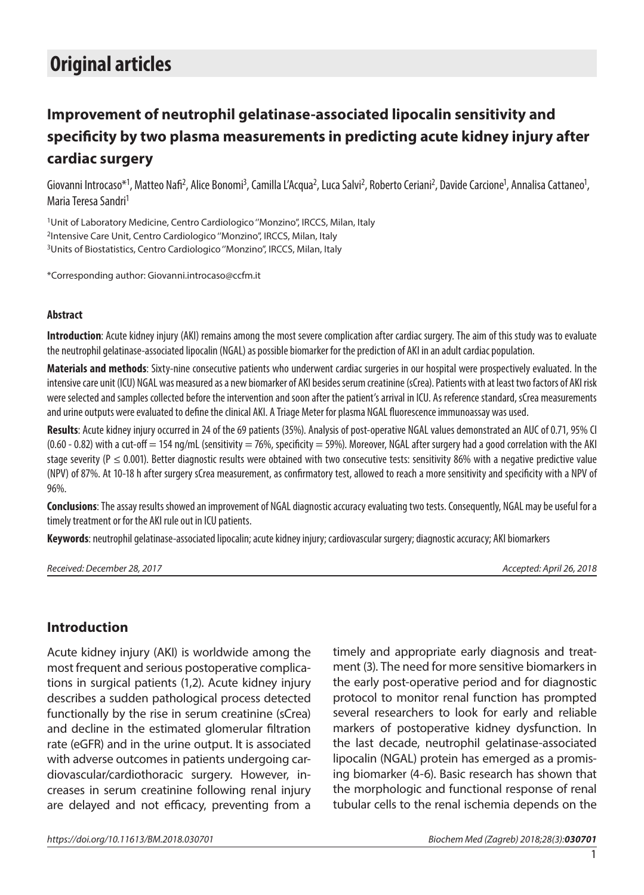# **Original articles**

## **Improvement of neutrophil gelatinase-associated lipocalin sensitivity and specificity by two plasma measurements in predicting acute kidney injury after cardiac surgery**

Giovanni Introcaso\*<sup>1</sup>, Matteo Nafi<sup>2</sup>, Alice Bonomi<sup>3</sup>, Camilla L'Acqua<sup>2</sup>, Luca Salvi<sup>2</sup>, Roberto Ceriani<sup>2</sup>, Davide Carcione<sup>1</sup>, Annalisa Cattaneo<sup>1</sup>, Maria Teresa Sandri1

1Unit of Laboratory Medicine, Centro Cardiologico ''Monzino'', IRCCS, Milan, Italy 2Intensive Care Unit, Centro Cardiologico ''Monzino'', IRCCS, Milan, Italy <sup>3</sup>Units of Biostatistics, Centro Cardiologico "Monzino", IRCCS, Milan, Italy

\*Corresponding author: Giovanni.introcaso@ccfm.it

#### **Abstract**

**Introduction**: Acute kidney injury (AKI) remains among the most severe complication after cardiac surgery. The aim of this study was to evaluate the neutrophil gelatinase-associated lipocalin (NGAL) as possible biomarker for the prediction of AKI in an adult cardiac population.

**Materials and methods**: Sixty-nine consecutive patients who underwent cardiac surgeries in our hospital were prospectively evaluated. In the intensive care unit (ICU) NGAL was measured as a new biomarker of AKI besides serum creatinine (sCrea). Patients with at least two factors of AKI risk were selected and samples collected before the intervention and soon after the patient's arrival in ICU. As reference standard, sCrea measurements and urine outputs were evaluated to define the clinical AKI. A Triage Meter for plasma NGAL fluorescence immunoassay was used.

**Results**: Acute kidney injury occurred in 24 of the 69 patients (35%). Analysis of post-operative NGAL values demonstrated an AUC of 0.71, 95% CI  $(0.60 - 0.82)$  with a cut-off = 154 ng/mL (sensitivity = 76%, specificity = 59%). Moreover, NGAL after surgery had a good correlation with the AKI stage severity (P  $\leq$  0.001). Better diagnostic results were obtained with two consecutive tests: sensitivity 86% with a negative predictive value (NPV) of 87%. At 10-18 h after surgery sCrea measurement, as confirmatory test, allowed to reach a more sensitivity and specificity with a NPV of 96%.

**Conclusions**: The assay results showed an improvement of NGAL diagnostic accuracy evaluating two tests. Consequently, NGAL may be useful for a timely treatment or for the AKI rule out in ICU patients.

**Keywords**: neutrophil gelatinase-associated lipocalin; acute kidney injury; cardiovascular surgery; diagnostic accuracy; AKI biomarkers

*Received: December 28, 2017 Accepted: April 26, 2018*

## **Introduction**

Acute kidney injury (AKI) is worldwide among the most frequent and serious postoperative complications in surgical patients (1,2). Acute kidney injury describes a sudden pathological process detected functionally by the rise in serum creatinine (sCrea) and decline in the estimated glomerular filtration rate (eGFR) and in the urine output. It is associated with adverse outcomes in patients undergoing cardiovascular/cardiothoracic surgery. However, increases in serum creatinine following renal injury are delayed and not efficacy, preventing from a

timely and appropriate early diagnosis and treatment (3). The need for more sensitive biomarkers in the early post-operative period and for diagnostic protocol to monitor renal function has prompted several researchers to look for early and reliable markers of postoperative kidney dysfunction. In the last decade, neutrophil gelatinase-associated lipocalin (NGAL) protein has emerged as a promising biomarker (4-6). Basic research has shown that the morphologic and functional response of renal tubular cells to the renal ischemia depends on the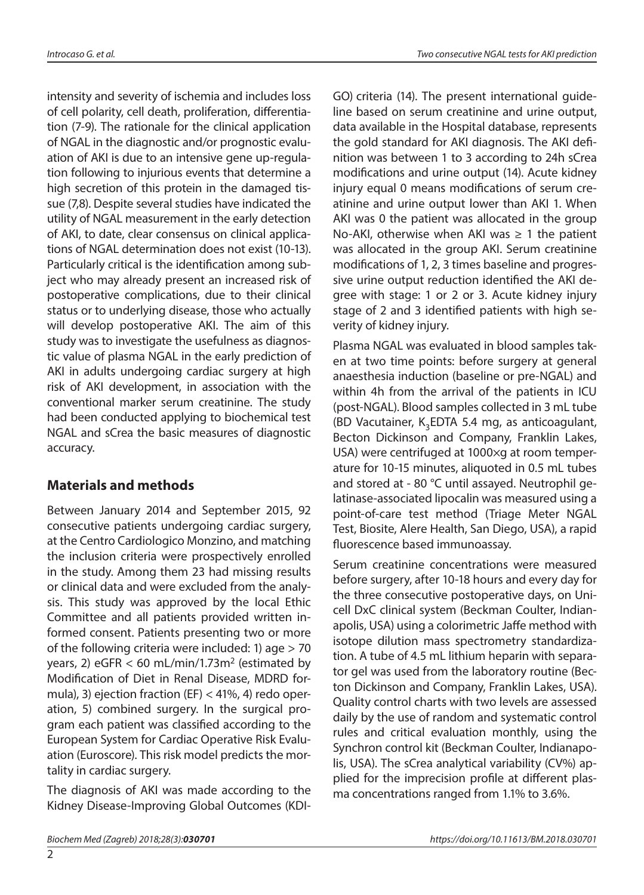intensity and severity of ischemia and includes loss of cell polarity, cell death, proliferation, differentiation (7-9). The rationale for the clinical application of NGAL in the diagnostic and/or prognostic evaluation of AKI is due to an intensive gene up-regulation following to injurious events that determine a high secretion of this protein in the damaged tissue (7,8). Despite several studies have indicated the utility of NGAL measurement in the early detection of AKI, to date, clear consensus on clinical applications of NGAL determination does not exist (10-13). Particularly critical is the identification among subject who may already present an increased risk of postoperative complications, due to their clinical status or to underlying disease, those who actually will develop postoperative AKI. The aim of this study was to investigate the usefulness as diagnostic value of plasma NGAL in the early prediction of AKI in adults undergoing cardiac surgery at high risk of AKI development, in association with the conventional marker serum creatinine. The study had been conducted applying to biochemical test NGAL and sCrea the basic measures of diagnostic accuracy.

## **Materials and methods**

Between January 2014 and September 2015, 92 consecutive patients undergoing cardiac surgery, at the Centro Cardiologico Monzino, and matching the inclusion criteria were prospectively enrolled in the study. Among them 23 had missing results or clinical data and were excluded from the analysis. This study was approved by the local Ethic Committee and all patients provided written informed consent. Patients presenting two or more of the following criteria were included: 1) age > 70 years, 2) eGFR  $<$  60 mL/min/1.73m<sup>2</sup> (estimated by Modification of Diet in Renal Disease, MDRD formula), 3) ejection fraction (EF)  $<$  41%, 4) redo operation, 5) combined surgery. In the surgical program each patient was classified according to the European System for Cardiac Operative Risk Evaluation (Euroscore). This risk model predicts the mortality in cardiac surgery.

The diagnosis of AKI was made according to the Kidney Disease-Improving Global Outcomes (KDI- GO) criteria (14). The present international guideline based on serum creatinine and urine output, data available in the Hospital database, represents the gold standard for AKI diagnosis. The AKI definition was between 1 to 3 according to 24h sCrea modifications and urine output (14). Acute kidney injury equal 0 means modifications of serum creatinine and urine output lower than AKI 1. When AKI was 0 the patient was allocated in the group No-AKI, otherwise when AKI was  $\geq 1$  the patient was allocated in the group AKI. Serum creatinine modifications of 1, 2, 3 times baseline and progressive urine output reduction identified the AKI degree with stage: 1 or 2 or 3. Acute kidney injury stage of 2 and 3 identified patients with high severity of kidney injury.

Plasma NGAL was evaluated in blood samples taken at two time points: before surgery at general anaesthesia induction (baseline or pre-NGAL) and within 4h from the arrival of the patients in ICU (post-NGAL). Blood samples collected in 3 mL tube (BD Vacutainer,  $K$ <sub>2</sub>EDTA 5.4 mg, as anticoagulant, Becton Dickinson and Company, Franklin Lakes, USA) were centrifuged at 1000×g at room temperature for 10-15 minutes, aliquoted in 0.5 mL tubes and stored at - 80 °C until assayed. Neutrophil gelatinase-associated lipocalin was measured using a point-of-care test method (Triage Meter NGAL Test, Biosite, Alere Health, San Diego, USA), a rapid fluorescence based immunoassay.

Serum creatinine concentrations were measured before surgery, after 10-18 hours and every day for the three consecutive postoperative days, on Unicell DxC clinical system (Beckman Coulter, Indianapolis, USA) using a colorimetric Jaffe method with isotope dilution mass spectrometry standardization. A tube of 4.5 mL lithium heparin with separator gel was used from the laboratory routine (Becton Dickinson and Company, Franklin Lakes, USA). Quality control charts with two levels are assessed daily by the use of random and systematic control rules and critical evaluation monthly, using the Synchron control kit (Beckman Coulter, Indianapolis, USA). The sCrea analytical variability (CV%) applied for the imprecision profile at different plasma concentrations ranged from 1.1% to 3.6%.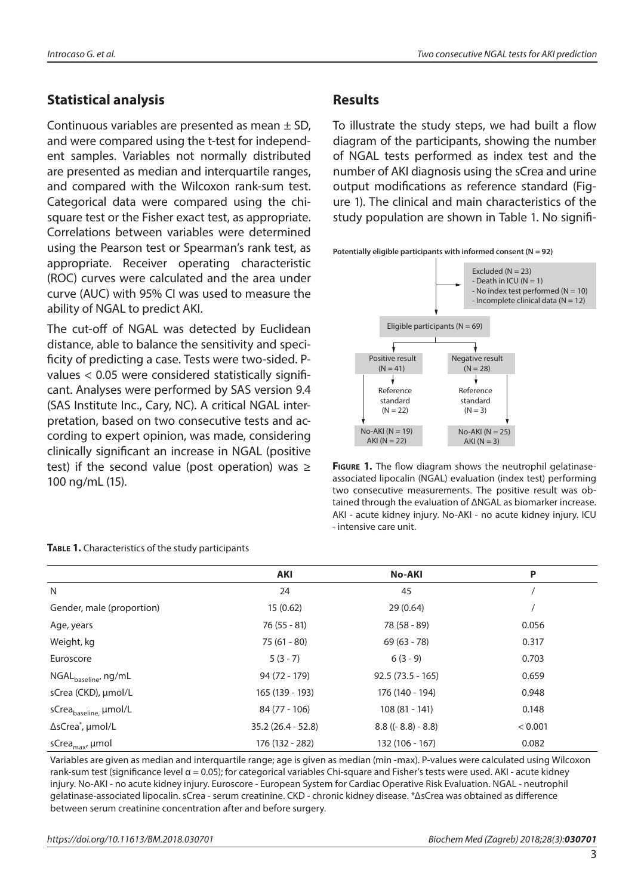## **Statistical analysis**

Continuous variables are presented as mean  $\pm$  SD, and were compared using the t-test for independent samples. Variables not normally distributed are presented as median and interquartile ranges, and compared with the Wilcoxon rank-sum test. Categorical data were compared using the chisquare test or the Fisher exact test, as appropriate. Correlations between variables were determined using the Pearson test or Spearman's rank test, as appropriate. Receiver operating characteristic (ROC) curves were calculated and the area under curve (AUC) with 95% CI was used to measure the ability of NGAL to predict AKI.

The cut-off of NGAL was detected by Euclidean distance, able to balance the sensitivity and specificity of predicting a case. Tests were two-sided. Pvalues < 0.05 were considered statistically significant. Analyses were performed by SAS version 9.4 (SAS Institute Inc., Cary, NC). A critical NGAL interpretation, based on two consecutive tests and according to expert opinion, was made, considering clinically significant an increase in NGAL (positive test) if the second value (post operation) was  $\ge$ 100 ng/mL (15).

## **Results**

To illustrate the study steps, we had built a flow diagram of the participants, showing the number of NGAL tests performed as index test and the number of AKI diagnosis using the sCrea and urine output modifications as reference standard (Figure 1). The clinical and main characteristics of the study population are shown in Table 1. No signifi-





**Figure 1.** The flow diagram shows the neutrophil gelatinaseassociated lipocalin (NGAL) evaluation (index test) performing two consecutive measurements. The positive result was obtained through the evaluation of ΔNGAL as biomarker increase. AKI - acute kidney injury. No-AKI - no acute kidney injury. ICU - intensive care unit.

|                                   | AKI                 | <b>No-AKI</b>               | P       |
|-----------------------------------|---------------------|-----------------------------|---------|
| N                                 | 24                  | 45                          |         |
| Gender, male (proportion)         | 15(0.62)            | 29(0.64)                    |         |
| Age, years                        | $76(55 - 81)$       | 78 (58 - 89)                | 0.056   |
| Weight, kg                        | $75(61 - 80)$       | $69(63 - 78)$               | 0.317   |
| Euroscore                         | $5(3-7)$            | $6(3-9)$                    | 0.703   |
| NGAL <sub>baseline</sub> , ng/mL  | 94 (72 - 179)       | $92.5(73.5 - 165)$          | 0.659   |
| sCrea (CKD), µmol/L               | 165 (139 - 193)     | 176 (140 - 194)             | 0.948   |
| sCrea <sub>baseline, µmol/L</sub> | 84 (77 - 106)       | $108(81 - 141)$             | 0.148   |
| ∆sCrea <sup>*</sup> , µmol/L      | $35.2(26.4 - 52.8)$ | $8.8$ ((- $8.8$ ) - $8.8$ ) | < 0.001 |
| sCrea <sub>max</sub> , µmol       | 176 (132 - 282)     | 132 (106 - 167)             | 0.082   |

**Table 1.** Characteristics of the study participants

Variables are given as median and interquartile range; age is given as median (min -max). P-values were calculated using Wilcoxon rank-sum test (significance level  $\alpha$  = 0.05); for categorical variables Chi-square and Fisher's tests were used. AKI - acute kidney injury. No-AKI - no acute kidney injury. Euroscore - European System for Cardiac Operative Risk Evaluation. NGAL - neutrophil gelatinase-associated lipocalin. sCrea - serum creatinine. CKD - chronic kidney disease. \*ΔsCrea was obtained as difference between serum creatinine concentration after and before surgery.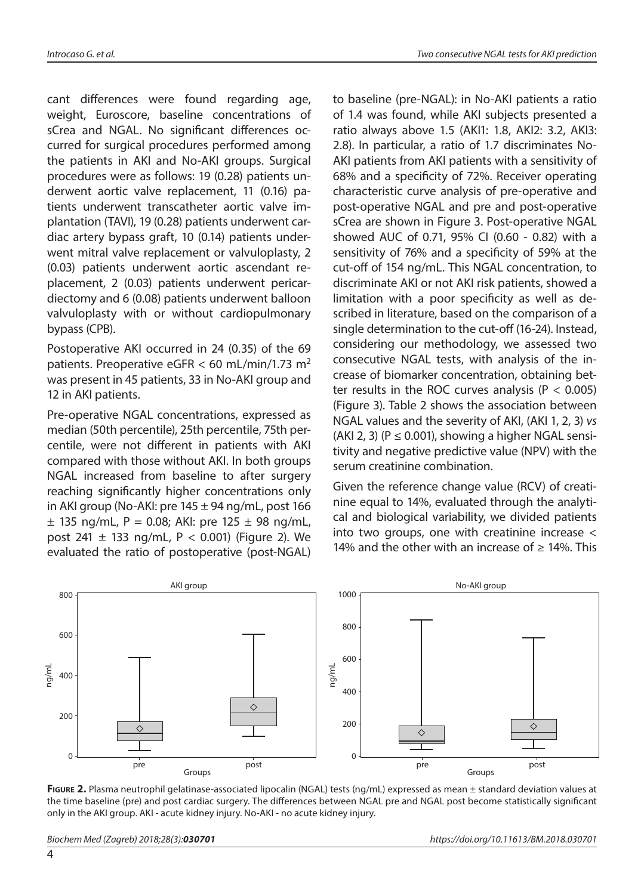cant differences were found regarding age, weight, Euroscore, baseline concentrations of sCrea and NGAL. No significant differences occurred for surgical procedures performed among the patients in AKI and No-AKI groups. Surgical procedures were as follows: 19 (0.28) patients underwent aortic valve replacement, 11 (0.16) patients underwent transcatheter aortic valve implantation (TAVI), 19 (0.28) patients underwent cardiac artery bypass graft, 10 (0.14) patients underwent mitral valve replacement or valvuloplasty, 2 (0.03) patients underwent aortic ascendant replacement, 2 (0.03) patients underwent pericardiectomy and 6 (0.08) patients underwent balloon valvuloplasty with or without cardiopulmonary bypass (CPB).

Postoperative AKI occurred in 24 (0.35) of the 69 patients. Preoperative eGFR  $<$  60 mL/min/1.73 m<sup>2</sup> was present in 45 patients, 33 in No-AKI group and 12 in AKI patients.

Pre-operative NGAL concentrations, expressed as median (50th percentile), 25th percentile, 75th percentile, were not different in patients with AKI compared with those without AKI. In both groups NGAL increased from baseline to after surgery reaching significantly higher concentrations only in AKI group (No-AKI: pre  $145 \pm 94$  ng/mL, post  $166$  $\pm$  135 ng/mL, P = 0.08; AKI: pre 125  $\pm$  98 ng/mL, post 241  $\pm$  133 ng/mL, P < 0.001) (Figure 2). We evaluated the ratio of postoperative (post-NGAL)

to baseline (pre-NGAL): in No-AKI patients a ratio of 1.4 was found, while AKI subjects presented a ratio always above 1.5 (AKI1: 1.8, AKI2: 3.2, AKI3: 2.8). In particular, a ratio of 1.7 discriminates No-AKI patients from AKI patients with a sensitivity of 68% and a specificity of 72%. Receiver operating characteristic curve analysis of pre-operative and post-operative NGAL and pre and post-operative sCrea are shown in Figure 3. Post-operative NGAL showed AUC of 0.71, 95% CI (0.60 - 0.82) with a sensitivity of 76% and a specificity of 59% at the cut-off of 154 ng/mL. This NGAL concentration, to discriminate AKI or not AKI risk patients, showed a limitation with a poor specificity as well as described in literature, based on the comparison of a single determination to the cut-off (16-24). Instead, considering our methodology, we assessed two consecutive NGAL tests, with analysis of the increase of biomarker concentration, obtaining better results in the ROC curves analysis ( $P < 0.005$ ) (Figure 3). Table 2 shows the association between NGAL values and the severity of AKI, (AKI 1, 2, 3) *vs* (AKI 2, 3) ( $P \le 0.001$ ), showing a higher NGAL sensitivity and negative predictive value (NPV) with the serum creatinine combination.

Given the reference change value (RCV) of creatinine equal to 14%, evaluated through the analytical and biological variability, we divided patients into two groups, one with creatinine increase < 14% and the other with an increase of  $\geq$  14%. This



**Figure 2.** Plasma neutrophil gelatinase-associated lipocalin (NGAL) tests (ng/mL) expressed as mean ± standard deviation values at the time baseline (pre) and post cardiac surgery. The differences between NGAL pre and NGAL post become statistically significant only in the AKI group. AKI - acute kidney injury. No-AKI - no acute kidney injury.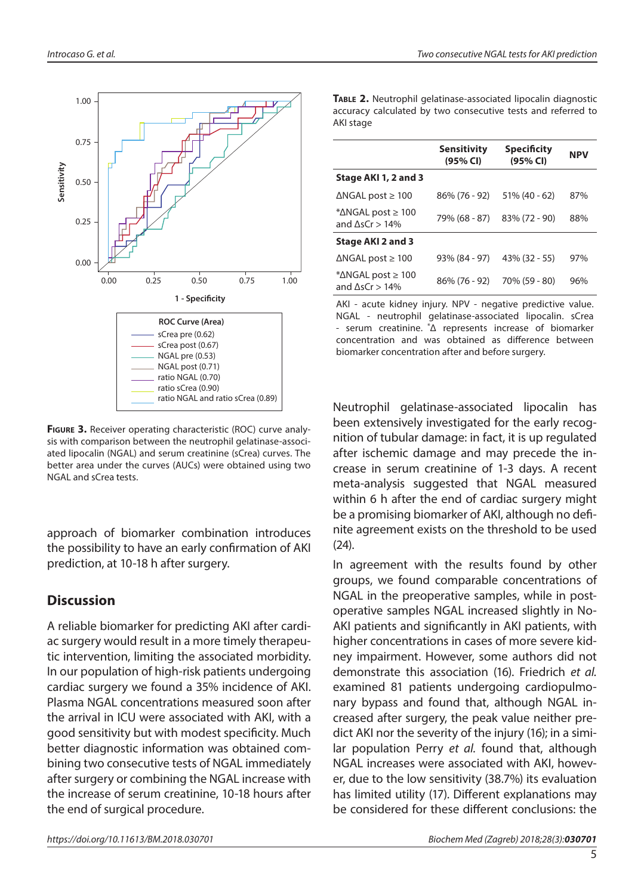

**FIGURE 3.** Receiver operating characteristic (ROC) curve analysis with comparison between the neutrophil gelatinase-associated lipocalin (NGAL) and serum creatinine (sCrea) curves. The better area under the curves (AUCs) were obtained using two NGAL and sCrea tests.

approach of biomarker combination introduces the possibility to have an early confirmation of AKI prediction, at 10-18 h after surgery.

#### **Discussion**

A reliable biomarker for predicting AKI after cardiac surgery would result in a more timely therapeutic intervention, limiting the associated morbidity. In our population of high-risk patients undergoing cardiac surgery we found a 35% incidence of AKI. Plasma NGAL concentrations measured soon after the arrival in ICU were associated with AKI, with a good sensitivity but with modest specificity. Much better diagnostic information was obtained combining two consecutive tests of NGAL immediately after surgery or combining the NGAL increase with the increase of serum creatinine, 10-18 hours after the end of surgical procedure.

**Table 2.** Neutrophil gelatinase-associated lipocalin diagnostic accuracy calculated by two consecutive tests and referred to AKI stage

|                                                                | <b>Sensitivity</b><br>(95% CI) | Specificity<br>(95% CI) | <b>NPV</b> |
|----------------------------------------------------------------|--------------------------------|-------------------------|------------|
| Stage AKI 1, 2 and 3                                           |                                |                         |            |
| $\Delta$ NGAL post $\geq 100$                                  | $86\%$ (76 - 92)               | $51\%$ (40 - 62)        | 87%        |
| * $\Delta$ NGAL post $\geq 100$<br>and $\Lambda$ s $Cr > 14\%$ | 79% (68 - 87)                  | 83% (72 - 90)           | 88%        |
| Stage AKI 2 and 3                                              |                                |                         |            |
| $\triangle$ NGAL post $\geq 100$                               | 93% (84 - 97)                  | $43\%$ (32 - 55)        | 97%        |
| * $\Delta$ NGAL post $\geq 100$<br>and $\Delta$ sCr > 14%      | 86% (76 - 92)                  | 70% (59 - 80)           | 96%        |

AKI - acute kidney injury. NPV - negative predictive value. NGAL - neutrophil gelatinase-associated lipocalin. sCrea - serum creatinine. \*Δ represents increase of biomarker concentration and was obtained as difference between biomarker concentration after and before surgery.

Neutrophil gelatinase-associated lipocalin has been extensively investigated for the early recognition of tubular damage: in fact, it is up regulated after ischemic damage and may precede the increase in serum creatinine of 1-3 days. A recent meta-analysis suggested that NGAL measured within 6 h after the end of cardiac surgery might be a promising biomarker of AKI, although no definite agreement exists on the threshold to be used (24).

In agreement with the results found by other groups, we found comparable concentrations of NGAL in the preoperative samples, while in postoperative samples NGAL increased slightly in No-AKI patients and significantly in AKI patients, with higher concentrations in cases of more severe kidney impairment. However, some authors did not demonstrate this association (16). Friedrich *et al.* examined 81 patients undergoing cardiopulmonary bypass and found that, although NGAL increased after surgery, the peak value neither predict AKI nor the severity of the injury (16); in a similar population Perry *et al.* found that, although NGAL increases were associated with AKI, however, due to the low sensitivity (38.7%) its evaluation has limited utility (17). Different explanations may be considered for these different conclusions: the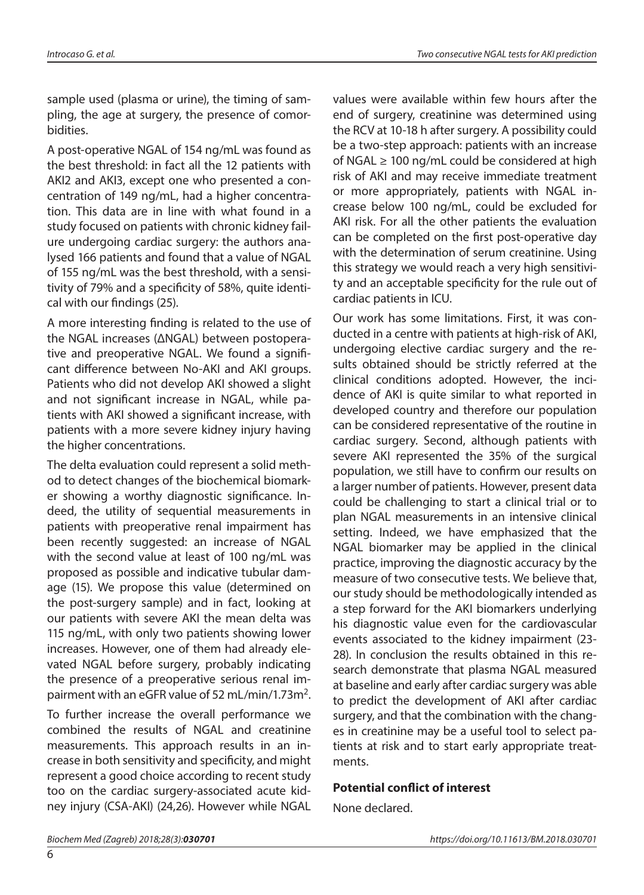sample used (plasma or urine), the timing of sampling, the age at surgery, the presence of comorbidities.

A post-operative NGAL of 154 ng/mL was found as the best threshold: in fact all the 12 patients with AKI2 and AKI3, except one who presented a concentration of 149 ng/mL, had a higher concentration. This data are in line with what found in a study focused on patients with chronic kidney failure undergoing cardiac surgery: the authors analysed 166 patients and found that a value of NGAL of 155 ng/mL was the best threshold, with a sensitivity of 79% and a specificity of 58%, quite identical with our findings (25).

A more interesting finding is related to the use of the NGAL increases (ΔNGAL) between postoperative and preoperative NGAL. We found a significant difference between No-AKI and AKI groups. Patients who did not develop AKI showed a slight and not significant increase in NGAL, while patients with AKI showed a significant increase, with patients with a more severe kidney injury having the higher concentrations.

The delta evaluation could represent a solid method to detect changes of the biochemical biomarker showing a worthy diagnostic significance. Indeed, the utility of sequential measurements in patients with preoperative renal impairment has been recently suggested: an increase of NGAL with the second value at least of 100 ng/mL was proposed as possible and indicative tubular damage (15). We propose this value (determined on the post-surgery sample) and in fact, looking at our patients with severe AKI the mean delta was 115 ng/mL, with only two patients showing lower increases. However, one of them had already elevated NGAL before surgery, probably indicating the presence of a preoperative serious renal impairment with an eGFR value of 52 mL/min/1.73m<sup>2</sup>.

To further increase the overall performance we combined the results of NGAL and creatinine measurements. This approach results in an increase in both sensitivity and specificity, and might represent a good choice according to recent study too on the cardiac surgery-associated acute kidney injury (CSA-AKI) (24,26). However while NGAL

values were available within few hours after the end of surgery, creatinine was determined using the RCV at 10-18 h after surgery. A possibility could be a two-step approach: patients with an increase of NGAL  $\geq$  100 ng/mL could be considered at high risk of AKI and may receive immediate treatment or more appropriately, patients with NGAL increase below 100 ng/mL, could be excluded for AKI risk. For all the other patients the evaluation can be completed on the first post-operative day with the determination of serum creatinine. Using this strategy we would reach a very high sensitivity and an acceptable specificity for the rule out of cardiac patients in ICU.

Our work has some limitations. First, it was conducted in a centre with patients at high-risk of AKI, undergoing elective cardiac surgery and the results obtained should be strictly referred at the clinical conditions adopted. However, the incidence of AKI is quite similar to what reported in developed country and therefore our population can be considered representative of the routine in cardiac surgery. Second, although patients with severe AKI represented the 35% of the surgical population, we still have to confirm our results on a larger number of patients. However, present data could be challenging to start a clinical trial or to plan NGAL measurements in an intensive clinical setting. Indeed, we have emphasized that the NGAL biomarker may be applied in the clinical practice, improving the diagnostic accuracy by the measure of two consecutive tests. We believe that, our study should be methodologically intended as a step forward for the AKI biomarkers underlying his diagnostic value even for the cardiovascular events associated to the kidney impairment (23- 28). In conclusion the results obtained in this research demonstrate that plasma NGAL measured at baseline and early after cardiac surgery was able to predict the development of AKI after cardiac surgery, and that the combination with the changes in creatinine may be a useful tool to select patients at risk and to start early appropriate treatments.

#### **Potential conflict of interest**

None declared.

6